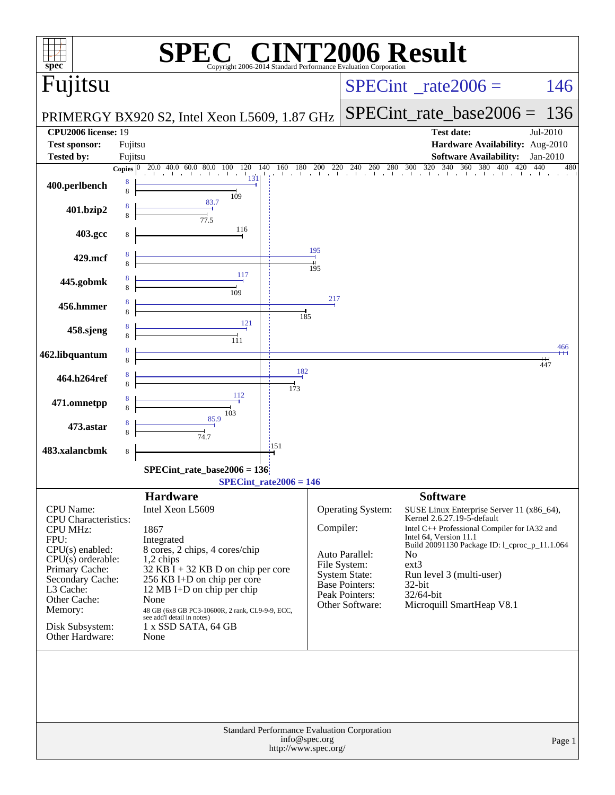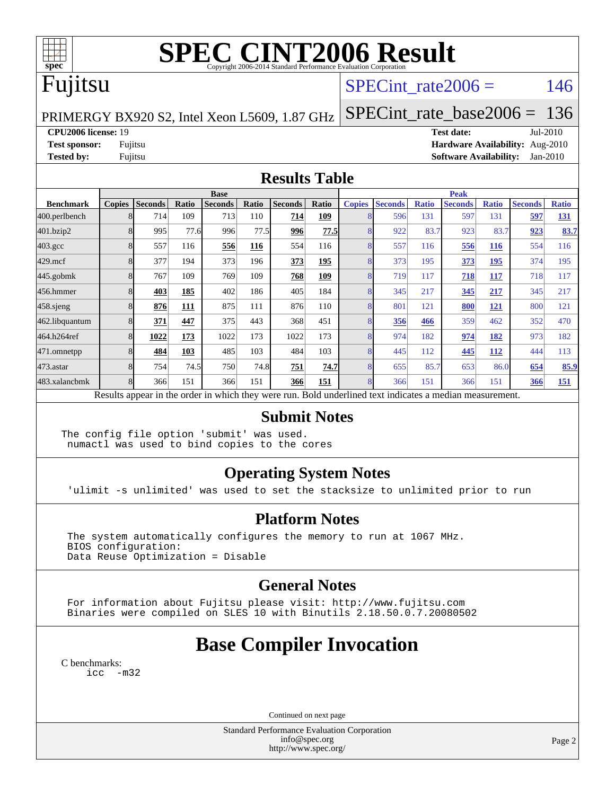

# **[SPEC CINT2006 Result](http://www.spec.org/auto/cpu2006/Docs/result-fields.html#SPECCINT2006Result)**

# Fujitsu

## SPECint rate $2006 = 146$

PRIMERGY BX920 S2, Intel Xeon L5609, 1.87 GHz [SPECint\\_rate\\_base2006 =](http://www.spec.org/auto/cpu2006/Docs/result-fields.html#SPECintratebase2006) 136

**[CPU2006 license:](http://www.spec.org/auto/cpu2006/Docs/result-fields.html#CPU2006license)** 19 **[Test date:](http://www.spec.org/auto/cpu2006/Docs/result-fields.html#Testdate)** Jul-2010

**[Test sponsor:](http://www.spec.org/auto/cpu2006/Docs/result-fields.html#Testsponsor)** Fujitsu **[Hardware Availability:](http://www.spec.org/auto/cpu2006/Docs/result-fields.html#HardwareAvailability)** Aug-2010 **[Tested by:](http://www.spec.org/auto/cpu2006/Docs/result-fields.html#Testedby)** Fujitsu **[Software Availability:](http://www.spec.org/auto/cpu2006/Docs/result-fields.html#SoftwareAvailability)** Jan-2010

### **[Results Table](http://www.spec.org/auto/cpu2006/Docs/result-fields.html#ResultsTable)**

|                    | <b>Base</b>   |                |       |                                                                                                          |       |                |            |               | <b>Peak</b>    |              |                |              |                |              |  |
|--------------------|---------------|----------------|-------|----------------------------------------------------------------------------------------------------------|-------|----------------|------------|---------------|----------------|--------------|----------------|--------------|----------------|--------------|--|
| <b>Benchmark</b>   | <b>Copies</b> | <b>Seconds</b> | Ratio | <b>Seconds</b>                                                                                           | Ratio | <b>Seconds</b> | Ratio      | <b>Copies</b> | <b>Seconds</b> | <b>Ratio</b> | <b>Seconds</b> | <b>Ratio</b> | <b>Seconds</b> | <b>Ratio</b> |  |
| 400.perlbench      | 8             | 714            | 109   | 713                                                                                                      | 110   | 714            | 109        |               | 596            | 131          | 597            | 131          | 597            | 131          |  |
| 401.bzip2          | 8             | 995            | 77.6  | 996                                                                                                      | 77.5  | 996            | 77.5       |               | 922            | 83.7         | 923            | 83.7         | 923            | 83.7         |  |
| $403.\mathrm{gcc}$ | 8             | 557            | 116   | 556                                                                                                      | 116   | 554            | 116        | 8             | 557            | 116          | 556            | 116          | 554            | 116          |  |
| $429$ .mcf         | 8             | 377            | 194   | 373                                                                                                      | 196   | 373            | 195        |               | 373            | 195          | 373            | 195          | 374            | 195          |  |
| $445$ .gobm $k$    |               | 767            | 109   | 769                                                                                                      | 109   | 768            | <u>109</u> |               | 719            | 117          | 718            | 117          | 718            | 117          |  |
| 456.hmmer          | 8             | 403            | 185   | 402                                                                                                      | 186   | 405            | 184        |               | 345            | 217          | 345            | 217          | 345            | 217          |  |
| $458$ .sjeng       | 8             | 876            | 111   | 875                                                                                                      | 111   | 876            | 110        |               | 801            | 121          | 800            | 121          | 800            | 121          |  |
| 462.libquantum     | 8             | 371            | 447   | 375                                                                                                      | 443   | 368            | 451        |               | 356            | 466          | 359            | 462          | 352            | 470          |  |
| 464.h264ref        | 8             | 1022           | 173   | 1022                                                                                                     | 173   | 1022           | 173        |               | 974            | 182          | 974            | 182          | 973            | 182          |  |
| 471.omnetpp        | 8             | 484            | 103   | 485                                                                                                      | 103   | 484            | 103        |               | 445            | 112          | 445            | <b>112</b>   | 444            | 113          |  |
| $473$ . astar      | 8             | 754            | 74.5  | 750                                                                                                      | 74.8  | 751            | 74.7       | 8             | 655            | 85.7         | 653            | 86.0         | 654            | 85.9         |  |
| 483.xalancbmk      |               | 366            | 151   | 366                                                                                                      | 151   | 366            | 151        |               | 366            | 151          | 366            | 151          | 366            | 151          |  |
|                    |               |                |       | Results appear in the order in which they were run. Bold underlined text indicates a median measurement. |       |                |            |               |                |              |                |              |                |              |  |

### **[Submit Notes](http://www.spec.org/auto/cpu2006/Docs/result-fields.html#SubmitNotes)**

The config file option 'submit' was used. numactl was used to bind copies to the cores

## **[Operating System Notes](http://www.spec.org/auto/cpu2006/Docs/result-fields.html#OperatingSystemNotes)**

'ulimit -s unlimited' was used to set the stacksize to unlimited prior to run

### **[Platform Notes](http://www.spec.org/auto/cpu2006/Docs/result-fields.html#PlatformNotes)**

 The system automatically configures the memory to run at 1067 MHz. BIOS configuration: Data Reuse Optimization = Disable

## **[General Notes](http://www.spec.org/auto/cpu2006/Docs/result-fields.html#GeneralNotes)**

 For information about Fujitsu please visit: <http://www.fujitsu.com> Binaries were compiled on SLES 10 with Binutils 2.18.50.0.7.20080502

## **[Base Compiler Invocation](http://www.spec.org/auto/cpu2006/Docs/result-fields.html#BaseCompilerInvocation)**

[C benchmarks](http://www.spec.org/auto/cpu2006/Docs/result-fields.html#Cbenchmarks): [icc -m32](http://www.spec.org/cpu2006/results/res2010q3/cpu2006-20100820-13041.flags.html#user_CCbase_intel_icc_32bit_5ff4a39e364c98233615fdd38438c6f2)

Continued on next page

Standard Performance Evaluation Corporation [info@spec.org](mailto:info@spec.org) <http://www.spec.org/>

Page 2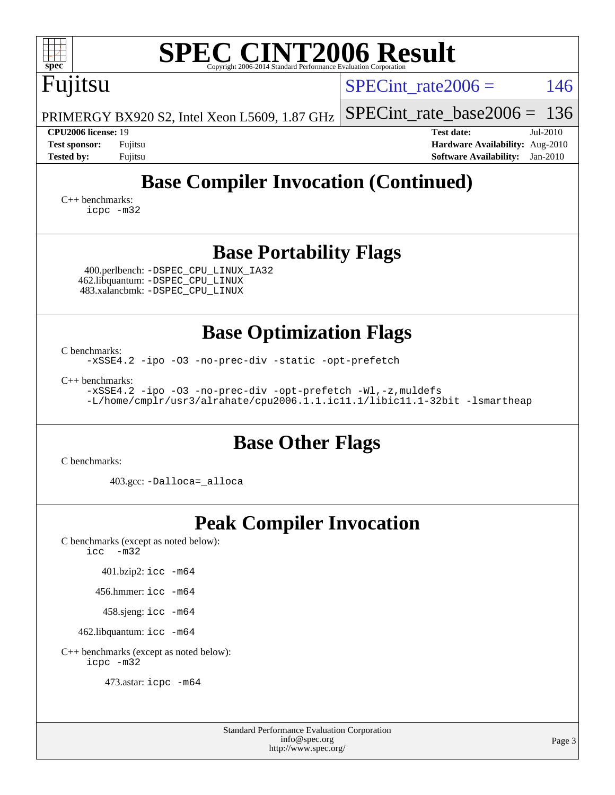| spec <sup>®</sup>                                                                                                                                                  | <b>SPEC CINT2006 Result</b><br>Copyright 2006-2014 Standard Performance Evaluation Corporation              |                                                                                                                 |  |  |  |  |
|--------------------------------------------------------------------------------------------------------------------------------------------------------------------|-------------------------------------------------------------------------------------------------------------|-----------------------------------------------------------------------------------------------------------------|--|--|--|--|
| Fujitsu                                                                                                                                                            |                                                                                                             | 146<br>$SPECint \ rate2006 =$                                                                                   |  |  |  |  |
|                                                                                                                                                                    | PRIMERGY BX920 S2, Intel Xeon L5609, 1.87 GHz                                                               | $SPECint_rate_base2006 = 136$                                                                                   |  |  |  |  |
| CPU2006 license: 19<br><b>Test sponsor:</b><br><b>Tested by:</b>                                                                                                   | Fujitsu<br>Fujitsu                                                                                          | <b>Test date:</b><br>Jul-2010<br>Hardware Availability: Aug-2010<br><b>Software Availability:</b><br>$Jan-2010$ |  |  |  |  |
| $C_{++}$ benchmarks:<br>icpc -m32                                                                                                                                  | <b>Base Compiler Invocation (Continued)</b>                                                                 |                                                                                                                 |  |  |  |  |
|                                                                                                                                                                    | <b>Base Portability Flags</b>                                                                               |                                                                                                                 |  |  |  |  |
|                                                                                                                                                                    | 400.perlbench: -DSPEC CPU LINUX IA32<br>462.libquantum: -DSPEC_CPU_LINUX<br>483.xalancbmk: -DSPEC_CPU_LINUX |                                                                                                                 |  |  |  |  |
| <b>Base Optimization Flags</b>                                                                                                                                     |                                                                                                             |                                                                                                                 |  |  |  |  |
| C benchmarks:<br>-xSSE4.2 -ipo -03 -no-prec-div -static -opt-prefetch                                                                                              |                                                                                                             |                                                                                                                 |  |  |  |  |
| $C_{++}$ benchmarks:<br>-xSSE4.2 -ipo -03 -no-prec-div -opt-prefetch -Wl,-z, muldefs<br>-L/home/cmplr/usr3/alrahate/cpu2006.1.1.ic11.1/libic11.1-32bit -lsmartheap |                                                                                                             |                                                                                                                 |  |  |  |  |
|                                                                                                                                                                    | <b>Base Other Flags</b>                                                                                     |                                                                                                                 |  |  |  |  |
| C benchmarks:                                                                                                                                                      |                                                                                                             |                                                                                                                 |  |  |  |  |
|                                                                                                                                                                    | 403.gcc: -Dalloca=_alloca                                                                                   |                                                                                                                 |  |  |  |  |
| $\text{icc}$ -m32                                                                                                                                                  | <b>Peak Compiler Invocation</b><br>C benchmarks (except as noted below):                                    |                                                                                                                 |  |  |  |  |
|                                                                                                                                                                    | 401.bzip2: icc -m64                                                                                         |                                                                                                                 |  |  |  |  |
|                                                                                                                                                                    | 456.hmmer: icc -m64                                                                                         |                                                                                                                 |  |  |  |  |
|                                                                                                                                                                    | 458.sjeng: icc -m64                                                                                         |                                                                                                                 |  |  |  |  |
|                                                                                                                                                                    | 462.libquantum: icc -m64                                                                                    |                                                                                                                 |  |  |  |  |
| icpc -m32                                                                                                                                                          | C++ benchmarks (except as noted below):                                                                     |                                                                                                                 |  |  |  |  |
|                                                                                                                                                                    | 473.astar: icpc -m64                                                                                        |                                                                                                                 |  |  |  |  |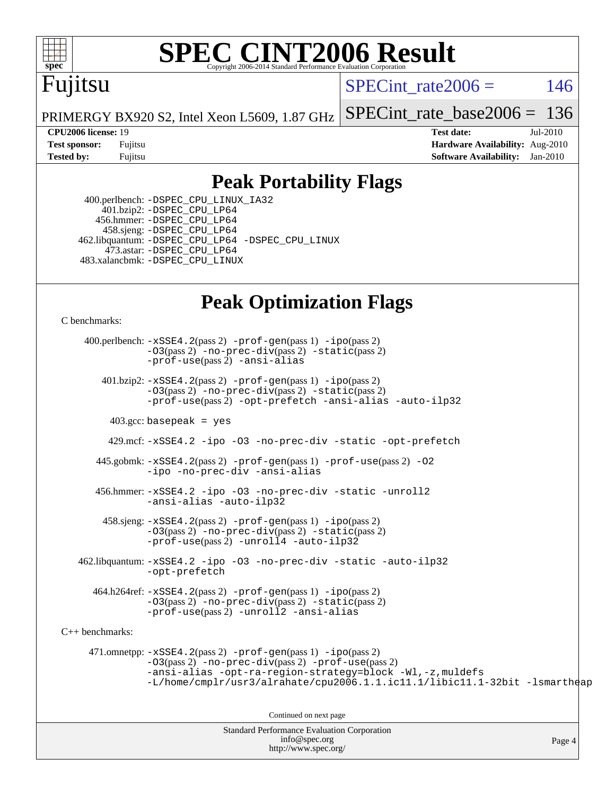

# **[SPEC CINT2006 Result](http://www.spec.org/auto/cpu2006/Docs/result-fields.html#SPECCINT2006Result)**

## Fujitsu

SPECint rate $2006 = 146$ 

Page 4

PRIMERGY BX920 S2, Intel Xeon L5609, 1.87 GHz [SPECint\\_rate\\_base2006 =](http://www.spec.org/auto/cpu2006/Docs/result-fields.html#SPECintratebase2006) 136

**[CPU2006 license:](http://www.spec.org/auto/cpu2006/Docs/result-fields.html#CPU2006license)** 19 **[Test date:](http://www.spec.org/auto/cpu2006/Docs/result-fields.html#Testdate)** Jul-2010 **[Test sponsor:](http://www.spec.org/auto/cpu2006/Docs/result-fields.html#Testsponsor)** Fujitsu **[Hardware Availability:](http://www.spec.org/auto/cpu2006/Docs/result-fields.html#HardwareAvailability)** Aug-2010 **[Tested by:](http://www.spec.org/auto/cpu2006/Docs/result-fields.html#Testedby)** Fujitsu **[Software Availability:](http://www.spec.org/auto/cpu2006/Docs/result-fields.html#SoftwareAvailability)** Jan-2010

## **[Peak Portability Flags](http://www.spec.org/auto/cpu2006/Docs/result-fields.html#PeakPortabilityFlags)**

 400.perlbench: [-DSPEC\\_CPU\\_LINUX\\_IA32](http://www.spec.org/cpu2006/results/res2010q3/cpu2006-20100820-13041.flags.html#b400.perlbench_peakCPORTABILITY_DSPEC_CPU_LINUX_IA32) 401.bzip2: [-DSPEC\\_CPU\\_LP64](http://www.spec.org/cpu2006/results/res2010q3/cpu2006-20100820-13041.flags.html#suite_peakCPORTABILITY401_bzip2_DSPEC_CPU_LP64) 456.hmmer: [-DSPEC\\_CPU\\_LP64](http://www.spec.org/cpu2006/results/res2010q3/cpu2006-20100820-13041.flags.html#suite_peakCPORTABILITY456_hmmer_DSPEC_CPU_LP64) 458.sjeng: [-DSPEC\\_CPU\\_LP64](http://www.spec.org/cpu2006/results/res2010q3/cpu2006-20100820-13041.flags.html#suite_peakCPORTABILITY458_sjeng_DSPEC_CPU_LP64) 462.libquantum: [-DSPEC\\_CPU\\_LP64](http://www.spec.org/cpu2006/results/res2010q3/cpu2006-20100820-13041.flags.html#suite_peakCPORTABILITY462_libquantum_DSPEC_CPU_LP64) [-DSPEC\\_CPU\\_LINUX](http://www.spec.org/cpu2006/results/res2010q3/cpu2006-20100820-13041.flags.html#b462.libquantum_peakCPORTABILITY_DSPEC_CPU_LINUX) 473.astar: [-DSPEC\\_CPU\\_LP64](http://www.spec.org/cpu2006/results/res2010q3/cpu2006-20100820-13041.flags.html#suite_peakCXXPORTABILITY473_astar_DSPEC_CPU_LP64) 483.xalancbmk: [-DSPEC\\_CPU\\_LINUX](http://www.spec.org/cpu2006/results/res2010q3/cpu2006-20100820-13041.flags.html#b483.xalancbmk_peakCXXPORTABILITY_DSPEC_CPU_LINUX)

## **[Peak Optimization Flags](http://www.spec.org/auto/cpu2006/Docs/result-fields.html#PeakOptimizationFlags)**

[C benchmarks](http://www.spec.org/auto/cpu2006/Docs/result-fields.html#Cbenchmarks):

Standard Performance Evaluation Corporation 400.perlbench: [-xSSE4.2](http://www.spec.org/cpu2006/results/res2010q3/cpu2006-20100820-13041.flags.html#user_peakPASS2_CFLAGSPASS2_LDCFLAGS400_perlbench_f-xSSE42_f91528193cf0b216347adb8b939d4107)(pass 2) [-prof-gen](http://www.spec.org/cpu2006/results/res2010q3/cpu2006-20100820-13041.flags.html#user_peakPASS1_CFLAGSPASS1_LDCFLAGS400_perlbench_prof_gen_e43856698f6ca7b7e442dfd80e94a8fc)(pass 1) [-ipo](http://www.spec.org/cpu2006/results/res2010q3/cpu2006-20100820-13041.flags.html#user_peakPASS2_CFLAGSPASS2_LDCFLAGS400_perlbench_f-ipo)(pass 2) [-O3](http://www.spec.org/cpu2006/results/res2010q3/cpu2006-20100820-13041.flags.html#user_peakPASS2_CFLAGSPASS2_LDCFLAGS400_perlbench_f-O3)(pass 2) [-no-prec-div](http://www.spec.org/cpu2006/results/res2010q3/cpu2006-20100820-13041.flags.html#user_peakPASS2_CFLAGSPASS2_LDCFLAGS400_perlbench_f-no-prec-div)(pass 2) [-static](http://www.spec.org/cpu2006/results/res2010q3/cpu2006-20100820-13041.flags.html#user_peakPASS2_CFLAGSPASS2_LDCFLAGS400_perlbench_f-static)(pass 2) [-prof-use](http://www.spec.org/cpu2006/results/res2010q3/cpu2006-20100820-13041.flags.html#user_peakPASS2_CFLAGSPASS2_LDCFLAGS400_perlbench_prof_use_bccf7792157ff70d64e32fe3e1250b55)(pass 2) [-ansi-alias](http://www.spec.org/cpu2006/results/res2010q3/cpu2006-20100820-13041.flags.html#user_peakCOPTIMIZE400_perlbench_f-ansi-alias) 401.bzip2: [-xSSE4.2](http://www.spec.org/cpu2006/results/res2010q3/cpu2006-20100820-13041.flags.html#user_peakPASS2_CFLAGSPASS2_LDCFLAGS401_bzip2_f-xSSE42_f91528193cf0b216347adb8b939d4107)(pass 2) [-prof-gen](http://www.spec.org/cpu2006/results/res2010q3/cpu2006-20100820-13041.flags.html#user_peakPASS1_CFLAGSPASS1_LDCFLAGS401_bzip2_prof_gen_e43856698f6ca7b7e442dfd80e94a8fc)(pass 1) [-ipo](http://www.spec.org/cpu2006/results/res2010q3/cpu2006-20100820-13041.flags.html#user_peakPASS2_CFLAGSPASS2_LDCFLAGS401_bzip2_f-ipo)(pass 2) [-O3](http://www.spec.org/cpu2006/results/res2010q3/cpu2006-20100820-13041.flags.html#user_peakPASS2_CFLAGSPASS2_LDCFLAGS401_bzip2_f-O3)(pass 2) [-no-prec-div](http://www.spec.org/cpu2006/results/res2010q3/cpu2006-20100820-13041.flags.html#user_peakPASS2_CFLAGSPASS2_LDCFLAGS401_bzip2_f-no-prec-div)(pass 2) [-static](http://www.spec.org/cpu2006/results/res2010q3/cpu2006-20100820-13041.flags.html#user_peakPASS2_CFLAGSPASS2_LDCFLAGS401_bzip2_f-static)(pass 2) [-prof-use](http://www.spec.org/cpu2006/results/res2010q3/cpu2006-20100820-13041.flags.html#user_peakPASS2_CFLAGSPASS2_LDCFLAGS401_bzip2_prof_use_bccf7792157ff70d64e32fe3e1250b55)(pass 2) [-opt-prefetch](http://www.spec.org/cpu2006/results/res2010q3/cpu2006-20100820-13041.flags.html#user_peakCOPTIMIZE401_bzip2_f-opt-prefetch) [-ansi-alias](http://www.spec.org/cpu2006/results/res2010q3/cpu2006-20100820-13041.flags.html#user_peakCOPTIMIZE401_bzip2_f-ansi-alias) [-auto-ilp32](http://www.spec.org/cpu2006/results/res2010q3/cpu2006-20100820-13041.flags.html#user_peakCOPTIMIZE401_bzip2_f-auto-ilp32)  $403.\text{gcc: basepeak}$  = yes 429.mcf: [-xSSE4.2](http://www.spec.org/cpu2006/results/res2010q3/cpu2006-20100820-13041.flags.html#user_peakCOPTIMIZE429_mcf_f-xSSE42_f91528193cf0b216347adb8b939d4107) [-ipo](http://www.spec.org/cpu2006/results/res2010q3/cpu2006-20100820-13041.flags.html#user_peakCOPTIMIZE429_mcf_f-ipo) [-O3](http://www.spec.org/cpu2006/results/res2010q3/cpu2006-20100820-13041.flags.html#user_peakCOPTIMIZE429_mcf_f-O3) [-no-prec-div](http://www.spec.org/cpu2006/results/res2010q3/cpu2006-20100820-13041.flags.html#user_peakCOPTIMIZE429_mcf_f-no-prec-div) [-static](http://www.spec.org/cpu2006/results/res2010q3/cpu2006-20100820-13041.flags.html#user_peakCOPTIMIZE429_mcf_f-static) [-opt-prefetch](http://www.spec.org/cpu2006/results/res2010q3/cpu2006-20100820-13041.flags.html#user_peakCOPTIMIZE429_mcf_f-opt-prefetch) 445.gobmk: [-xSSE4.2](http://www.spec.org/cpu2006/results/res2010q3/cpu2006-20100820-13041.flags.html#user_peakPASS2_CFLAGSPASS2_LDCFLAGS445_gobmk_f-xSSE42_f91528193cf0b216347adb8b939d4107)(pass 2) [-prof-gen](http://www.spec.org/cpu2006/results/res2010q3/cpu2006-20100820-13041.flags.html#user_peakPASS1_CFLAGSPASS1_LDCFLAGS445_gobmk_prof_gen_e43856698f6ca7b7e442dfd80e94a8fc)(pass 1) [-prof-use](http://www.spec.org/cpu2006/results/res2010q3/cpu2006-20100820-13041.flags.html#user_peakPASS2_CFLAGSPASS2_LDCFLAGS445_gobmk_prof_use_bccf7792157ff70d64e32fe3e1250b55)(pass 2) [-O2](http://www.spec.org/cpu2006/results/res2010q3/cpu2006-20100820-13041.flags.html#user_peakCOPTIMIZE445_gobmk_f-O2) [-ipo](http://www.spec.org/cpu2006/results/res2010q3/cpu2006-20100820-13041.flags.html#user_peakCOPTIMIZE445_gobmk_f-ipo) [-no-prec-div](http://www.spec.org/cpu2006/results/res2010q3/cpu2006-20100820-13041.flags.html#user_peakCOPTIMIZE445_gobmk_f-no-prec-div) [-ansi-alias](http://www.spec.org/cpu2006/results/res2010q3/cpu2006-20100820-13041.flags.html#user_peakCOPTIMIZE445_gobmk_f-ansi-alias) 456.hmmer: [-xSSE4.2](http://www.spec.org/cpu2006/results/res2010q3/cpu2006-20100820-13041.flags.html#user_peakCOPTIMIZE456_hmmer_f-xSSE42_f91528193cf0b216347adb8b939d4107) [-ipo](http://www.spec.org/cpu2006/results/res2010q3/cpu2006-20100820-13041.flags.html#user_peakCOPTIMIZE456_hmmer_f-ipo) [-O3](http://www.spec.org/cpu2006/results/res2010q3/cpu2006-20100820-13041.flags.html#user_peakCOPTIMIZE456_hmmer_f-O3) [-no-prec-div](http://www.spec.org/cpu2006/results/res2010q3/cpu2006-20100820-13041.flags.html#user_peakCOPTIMIZE456_hmmer_f-no-prec-div) [-static](http://www.spec.org/cpu2006/results/res2010q3/cpu2006-20100820-13041.flags.html#user_peakCOPTIMIZE456_hmmer_f-static) [-unroll2](http://www.spec.org/cpu2006/results/res2010q3/cpu2006-20100820-13041.flags.html#user_peakCOPTIMIZE456_hmmer_f-unroll_784dae83bebfb236979b41d2422d7ec2) [-ansi-alias](http://www.spec.org/cpu2006/results/res2010q3/cpu2006-20100820-13041.flags.html#user_peakCOPTIMIZE456_hmmer_f-ansi-alias) [-auto-ilp32](http://www.spec.org/cpu2006/results/res2010q3/cpu2006-20100820-13041.flags.html#user_peakCOPTIMIZE456_hmmer_f-auto-ilp32)  $458 \text{.}$  sjeng:  $-xSSE4$ .  $2(\text{pass 2})$  -prof-qen(pass 1) [-ipo](http://www.spec.org/cpu2006/results/res2010q3/cpu2006-20100820-13041.flags.html#user_peakPASS2_CFLAGSPASS2_LDCFLAGS458_sjeng_f-ipo)(pass 2) [-O3](http://www.spec.org/cpu2006/results/res2010q3/cpu2006-20100820-13041.flags.html#user_peakPASS2_CFLAGSPASS2_LDCFLAGS458_sjeng_f-O3)(pass 2) [-no-prec-div](http://www.spec.org/cpu2006/results/res2010q3/cpu2006-20100820-13041.flags.html#user_peakPASS2_CFLAGSPASS2_LDCFLAGS458_sjeng_f-no-prec-div)(pass 2) [-static](http://www.spec.org/cpu2006/results/res2010q3/cpu2006-20100820-13041.flags.html#user_peakPASS2_CFLAGSPASS2_LDCFLAGS458_sjeng_f-static)(pass 2) [-prof-use](http://www.spec.org/cpu2006/results/res2010q3/cpu2006-20100820-13041.flags.html#user_peakPASS2_CFLAGSPASS2_LDCFLAGS458_sjeng_prof_use_bccf7792157ff70d64e32fe3e1250b55)(pass 2) [-unroll4](http://www.spec.org/cpu2006/results/res2010q3/cpu2006-20100820-13041.flags.html#user_peakCOPTIMIZE458_sjeng_f-unroll_4e5e4ed65b7fd20bdcd365bec371b81f) [-auto-ilp32](http://www.spec.org/cpu2006/results/res2010q3/cpu2006-20100820-13041.flags.html#user_peakCOPTIMIZE458_sjeng_f-auto-ilp32) 462.libquantum: [-xSSE4.2](http://www.spec.org/cpu2006/results/res2010q3/cpu2006-20100820-13041.flags.html#user_peakCOPTIMIZE462_libquantum_f-xSSE42_f91528193cf0b216347adb8b939d4107) [-ipo](http://www.spec.org/cpu2006/results/res2010q3/cpu2006-20100820-13041.flags.html#user_peakCOPTIMIZE462_libquantum_f-ipo) [-O3](http://www.spec.org/cpu2006/results/res2010q3/cpu2006-20100820-13041.flags.html#user_peakCOPTIMIZE462_libquantum_f-O3) [-no-prec-div](http://www.spec.org/cpu2006/results/res2010q3/cpu2006-20100820-13041.flags.html#user_peakCOPTIMIZE462_libquantum_f-no-prec-div) [-static](http://www.spec.org/cpu2006/results/res2010q3/cpu2006-20100820-13041.flags.html#user_peakCOPTIMIZE462_libquantum_f-static) [-auto-ilp32](http://www.spec.org/cpu2006/results/res2010q3/cpu2006-20100820-13041.flags.html#user_peakCOPTIMIZE462_libquantum_f-auto-ilp32) [-opt-prefetch](http://www.spec.org/cpu2006/results/res2010q3/cpu2006-20100820-13041.flags.html#user_peakCOPTIMIZE462_libquantum_f-opt-prefetch) 464.h264ref: [-xSSE4.2](http://www.spec.org/cpu2006/results/res2010q3/cpu2006-20100820-13041.flags.html#user_peakPASS2_CFLAGSPASS2_LDCFLAGS464_h264ref_f-xSSE42_f91528193cf0b216347adb8b939d4107)(pass 2) [-prof-gen](http://www.spec.org/cpu2006/results/res2010q3/cpu2006-20100820-13041.flags.html#user_peakPASS1_CFLAGSPASS1_LDCFLAGS464_h264ref_prof_gen_e43856698f6ca7b7e442dfd80e94a8fc)(pass 1) [-ipo](http://www.spec.org/cpu2006/results/res2010q3/cpu2006-20100820-13041.flags.html#user_peakPASS2_CFLAGSPASS2_LDCFLAGS464_h264ref_f-ipo)(pass 2) [-O3](http://www.spec.org/cpu2006/results/res2010q3/cpu2006-20100820-13041.flags.html#user_peakPASS2_CFLAGSPASS2_LDCFLAGS464_h264ref_f-O3)(pass 2) [-no-prec-div](http://www.spec.org/cpu2006/results/res2010q3/cpu2006-20100820-13041.flags.html#user_peakPASS2_CFLAGSPASS2_LDCFLAGS464_h264ref_f-no-prec-div)(pass 2) [-static](http://www.spec.org/cpu2006/results/res2010q3/cpu2006-20100820-13041.flags.html#user_peakPASS2_CFLAGSPASS2_LDCFLAGS464_h264ref_f-static)(pass 2) [-prof-use](http://www.spec.org/cpu2006/results/res2010q3/cpu2006-20100820-13041.flags.html#user_peakPASS2_CFLAGSPASS2_LDCFLAGS464_h264ref_prof_use_bccf7792157ff70d64e32fe3e1250b55)(pass 2) [-unroll2](http://www.spec.org/cpu2006/results/res2010q3/cpu2006-20100820-13041.flags.html#user_peakCOPTIMIZE464_h264ref_f-unroll_784dae83bebfb236979b41d2422d7ec2) [-ansi-alias](http://www.spec.org/cpu2006/results/res2010q3/cpu2006-20100820-13041.flags.html#user_peakCOPTIMIZE464_h264ref_f-ansi-alias) [C++ benchmarks:](http://www.spec.org/auto/cpu2006/Docs/result-fields.html#CXXbenchmarks) 471.omnetpp: [-xSSE4.2](http://www.spec.org/cpu2006/results/res2010q3/cpu2006-20100820-13041.flags.html#user_peakPASS2_CXXFLAGSPASS2_LDCXXFLAGS471_omnetpp_f-xSSE42_f91528193cf0b216347adb8b939d4107)(pass 2) [-prof-gen](http://www.spec.org/cpu2006/results/res2010q3/cpu2006-20100820-13041.flags.html#user_peakPASS1_CXXFLAGSPASS1_LDCXXFLAGS471_omnetpp_prof_gen_e43856698f6ca7b7e442dfd80e94a8fc)(pass 1) [-ipo](http://www.spec.org/cpu2006/results/res2010q3/cpu2006-20100820-13041.flags.html#user_peakPASS2_CXXFLAGSPASS2_LDCXXFLAGS471_omnetpp_f-ipo)(pass 2) [-O3](http://www.spec.org/cpu2006/results/res2010q3/cpu2006-20100820-13041.flags.html#user_peakPASS2_CXXFLAGSPASS2_LDCXXFLAGS471_omnetpp_f-O3)(pass 2) [-no-prec-div](http://www.spec.org/cpu2006/results/res2010q3/cpu2006-20100820-13041.flags.html#user_peakPASS2_CXXFLAGSPASS2_LDCXXFLAGS471_omnetpp_f-no-prec-div)(pass 2) [-prof-use](http://www.spec.org/cpu2006/results/res2010q3/cpu2006-20100820-13041.flags.html#user_peakPASS2_CXXFLAGSPASS2_LDCXXFLAGS471_omnetpp_prof_use_bccf7792157ff70d64e32fe3e1250b55)(pass 2) [-ansi-alias](http://www.spec.org/cpu2006/results/res2010q3/cpu2006-20100820-13041.flags.html#user_peakCXXOPTIMIZE471_omnetpp_f-ansi-alias) [-opt-ra-region-strategy=block](http://www.spec.org/cpu2006/results/res2010q3/cpu2006-20100820-13041.flags.html#user_peakCXXOPTIMIZE471_omnetpp_f-opt-ra-region-strategy-block_a0a37c372d03933b2a18d4af463c1f69) [-Wl,-z,muldefs](http://www.spec.org/cpu2006/results/res2010q3/cpu2006-20100820-13041.flags.html#user_peakEXTRA_LDFLAGS471_omnetpp_link_force_multiple1_74079c344b956b9658436fd1b6dd3a8a) [-L/home/cmplr/usr3/alrahate/cpu2006.1.1.ic11.1/libic11.1-32bit -lsmartheap](http://www.spec.org/cpu2006/results/res2010q3/cpu2006-20100820-13041.flags.html#user_peakEXTRA_LIBS471_omnetpp_SmartHeap_d86dffe4a79b79ef8890d5cce17030c3) Continued on next page

> [info@spec.org](mailto:info@spec.org) <http://www.spec.org/>